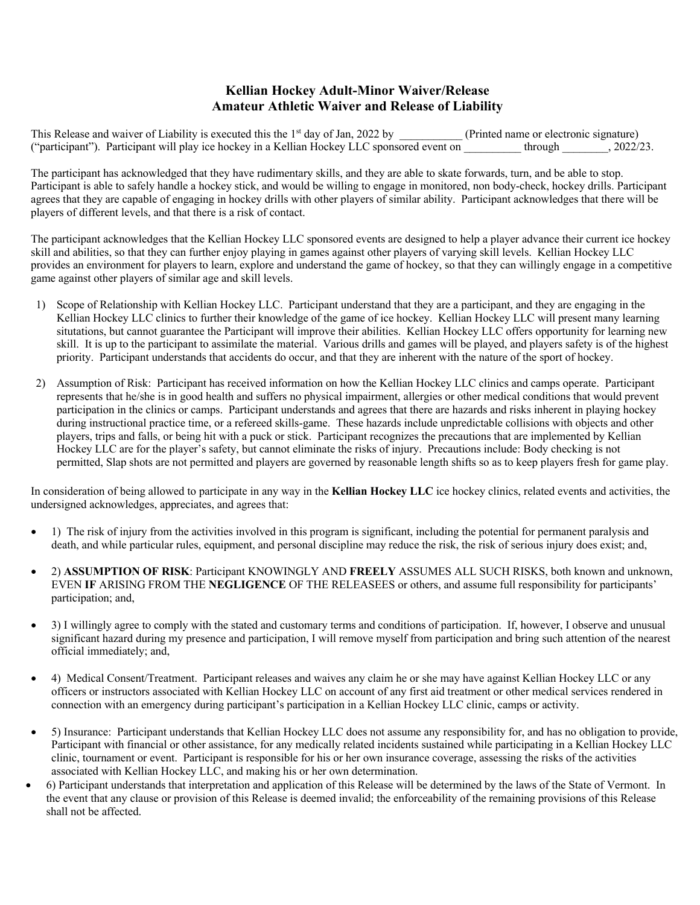## **Kellian Hockey Adult-Minor Waiver/Release Amateur Athletic Waiver and Release of Liability**

This Release and waiver of Liability is executed this the 1<sup>st</sup> day of Jan, 2022 by (Printed name or electronic signature) ("participant"). Participant will play ice hockey in a Kellian Hockey LLC sponsored event on \_\_\_\_\_\_\_\_\_\_ through \_\_\_\_\_\_\_\_, 2022/23.

The participant has acknowledged that they have rudimentary skills, and they are able to skate forwards, turn, and be able to stop. Participant is able to safely handle a hockey stick, and would be willing to engage in monitored, non body-check, hockey drills. Participant agrees that they are capable of engaging in hockey drills with other players of similar ability. Participant acknowledges that there will be players of different levels, and that there is a risk of contact.

The participant acknowledges that the Kellian Hockey LLC sponsored events are designed to help a player advance their current ice hockey skill and abilities, so that they can further enjoy playing in games against other players of varying skill levels. Kellian Hockey LLC provides an environment for players to learn, explore and understand the game of hockey, so that they can willingly engage in a competitive game against other players of similar age and skill levels.

- 1) Scope of Relationship with Kellian Hockey LLC. Participant understand that they are a participant, and they are engaging in the Kellian Hockey LLC clinics to further their knowledge of the game of ice hockey. Kellian Hockey LLC will present many learning situtations, but cannot guarantee the Participant will improve their abilities. Kellian Hockey LLC offers opportunity for learning new skill. It is up to the participant to assimilate the material. Various drills and games will be played, and players safety is of the highest priority. Participant understands that accidents do occur, and that they are inherent with the nature of the sport of hockey.
- 2) Assumption of Risk: Participant has received information on how the Kellian Hockey LLC clinics and camps operate. Participant represents that he/she is in good health and suffers no physical impairment, allergies or other medical conditions that would prevent participation in the clinics or camps. Participant understands and agrees that there are hazards and risks inherent in playing hockey during instructional practice time, or a refereed skills-game. These hazards include unpredictable collisions with objects and other players, trips and falls, or being hit with a puck or stick. Participant recognizes the precautions that are implemented by Kellian Hockey LLC are for the player's safety, but cannot eliminate the risks of injury. Precautions include: Body checking is not permitted, Slap shots are not permitted and players are governed by reasonable length shifts so as to keep players fresh for game play.

In consideration of being allowed to participate in any way in the **Kellian Hockey LLC** ice hockey clinics, related events and activities, the undersigned acknowledges, appreciates, and agrees that:

- 1) The risk of injury from the activities involved in this program is significant, including the potential for permanent paralysis and death, and while particular rules, equipment, and personal discipline may reduce the risk, the risk of serious injury does exist; and,
- 2) **ASSUMPTION OF RISK**: Participant KNOWINGLY AND **FREELY** ASSUMES ALL SUCH RISKS, both known and unknown, EVEN **IF** ARISING FROM THE **NEGLIGENCE** OF THE RELEASEES or others, and assume full responsibility for participants' participation; and,
- 3) I willingly agree to comply with the stated and customary terms and conditions of participation. If, however, I observe and unusual significant hazard during my presence and participation, I will remove myself from participation and bring such attention of the nearest official immediately; and,
- 4) Medical Consent/Treatment. Participant releases and waives any claim he or she may have against Kellian Hockey LLC or any officers or instructors associated with Kellian Hockey LLC on account of any first aid treatment or other medical services rendered in connection with an emergency during participant's participation in a Kellian Hockey LLC clinic, camps or activity.
- 5) Insurance: Participant understands that Kellian Hockey LLC does not assume any responsibility for, and has no obligation to provide, Participant with financial or other assistance, for any medically related incidents sustained while participating in a Kellian Hockey LLC clinic, tournament or event. Participant is responsible for his or her own insurance coverage, assessing the risks of the activities associated with Kellian Hockey LLC, and making his or her own determination.
- 6) Participant understands that interpretation and application of this Release will be determined by the laws of the State of Vermont. In the event that any clause or provision of this Release is deemed invalid; the enforceability of the remaining provisions of this Release shall not be affected.